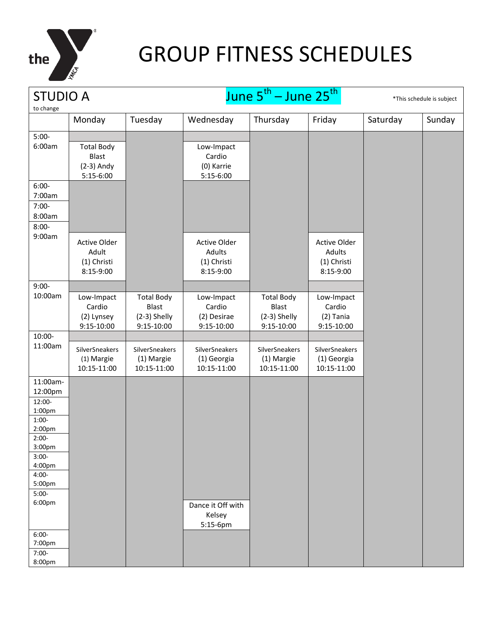

## GROUP FITNESS SCHEDULES

| <b>STUDIO A</b><br>to change                                                                                                                         |                                                           |                                                                 | June 5 <sup>th</sup> – June 25 <sup>th</sup>              |                                                          |                                                    | *This schedule is subject |        |
|------------------------------------------------------------------------------------------------------------------------------------------------------|-----------------------------------------------------------|-----------------------------------------------------------------|-----------------------------------------------------------|----------------------------------------------------------|----------------------------------------------------|---------------------------|--------|
|                                                                                                                                                      | Monday                                                    | Tuesday                                                         | Wednesday                                                 | Thursday                                                 | Friday                                             | Saturday                  | Sunday |
| $5:00-$<br>6:00am                                                                                                                                    | <b>Total Body</b><br>Blast<br>$(2-3)$ Andy<br>$5:15-6:00$ |                                                                 | Low-Impact<br>Cardio<br>(0) Karrie<br>$5:15-6:00$         |                                                          |                                                    |                           |        |
| $6:00-$<br>7:00am<br>$7:00-$<br>8:00am<br>$8:00-$                                                                                                    |                                                           |                                                                 |                                                           |                                                          |                                                    |                           |        |
| 9:00am                                                                                                                                               | Active Older<br>Adult<br>(1) Christi<br>8:15-9:00         |                                                                 | Active Older<br><b>Adults</b><br>(1) Christi<br>8:15-9:00 |                                                          | Active Older<br>Adults<br>(1) Christi<br>8:15-9:00 |                           |        |
| $9:00-$<br>10:00am                                                                                                                                   | Low-Impact<br>Cardio<br>(2) Lynsey<br>9:15-10:00          | <b>Total Body</b><br><b>Blast</b><br>(2-3) Shelly<br>9:15-10:00 | Low-Impact<br>Cardio<br>(2) Desirae<br>$9:15-10:00$       | <b>Total Body</b><br>Blast<br>(2-3) Shelly<br>9:15-10:00 | Low-Impact<br>Cardio<br>(2) Tania<br>9:15-10:00    |                           |        |
| 10:00-<br>11:00am                                                                                                                                    | SilverSneakers<br>(1) Margie<br>10:15-11:00               | SilverSneakers<br>(1) Margie<br>10:15-11:00                     | SilverSneakers<br>(1) Georgia<br>10:15-11:00              | SilverSneakers<br>(1) Margie<br>10:15-11:00              | SilverSneakers<br>(1) Georgia<br>10:15-11:00       |                           |        |
| 11:00am-<br>12:00pm<br>12:00-<br>1:00 <sub>pm</sub><br>$1:00-$<br>2:00 <sub>pm</sub><br>$2:00-$<br>3:00pm<br>$3:00-$<br>4:00pm<br>$4:00 -$<br>5:00pm |                                                           |                                                                 |                                                           |                                                          |                                                    |                           |        |
| $5:00-$<br>6:00pm<br>$6:00-$<br>7:00pm<br>$7:00-$<br>8:00pm                                                                                          |                                                           |                                                                 | Dance it Off with<br>Kelsey<br>5:15-6pm                   |                                                          |                                                    |                           |        |